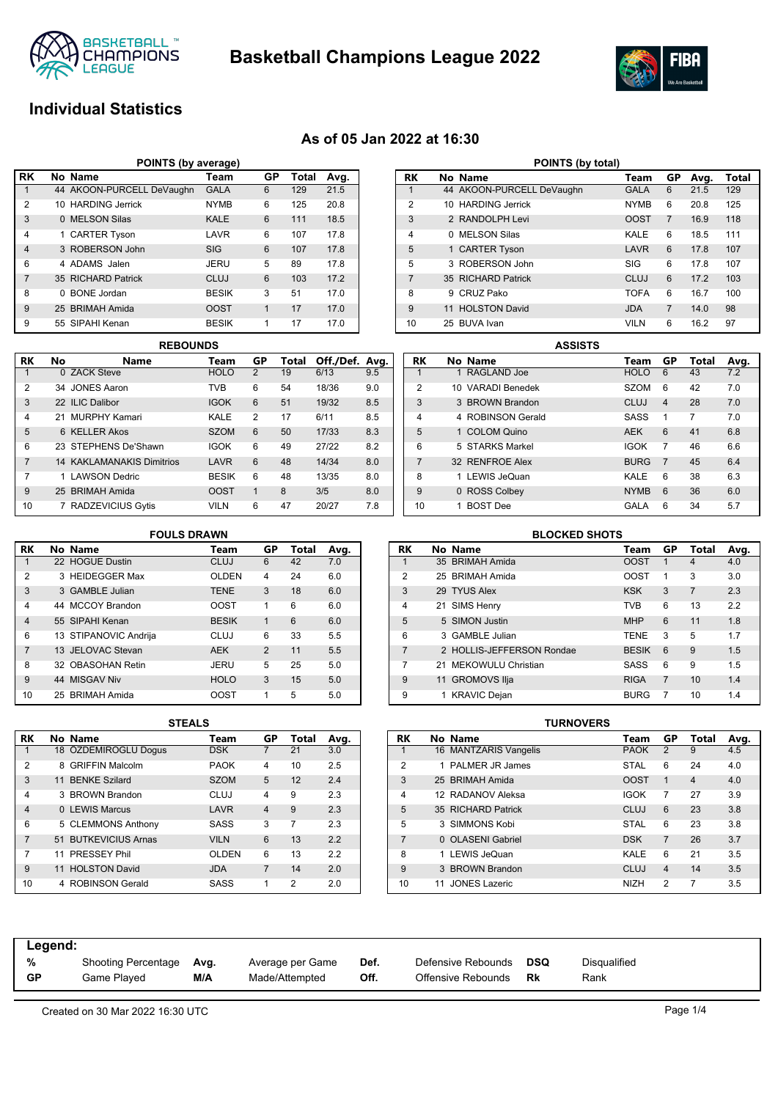

**Basketball Champions League 2022**



# **Individual Statistics**

## **As of 05 Jan 2022 at 16:30**

| POINTS (by average) |   |                           |              |    |       |      |  |  |  |  |  |  |
|---------------------|---|---------------------------|--------------|----|-------|------|--|--|--|--|--|--|
| <b>RK</b>           |   | No Name                   | Team         | GP | Total | Avg. |  |  |  |  |  |  |
| 1                   |   | 44 AKOON-PURCELL DeVaughn | <b>GALA</b>  | 6  | 129   | 21.5 |  |  |  |  |  |  |
| 2                   |   | 10 HARDING Jerrick        | <b>NYMB</b>  | 6  | 125   | 20.8 |  |  |  |  |  |  |
| 3                   |   | 0 MELSON Silas            | <b>KALE</b>  | 6  | 111   | 18.5 |  |  |  |  |  |  |
| 4                   |   | 1 CARTER Tyson            | LAVR         | 6  | 107   | 17.8 |  |  |  |  |  |  |
| $\overline{4}$      |   | 3 ROBERSON John           | <b>SIG</b>   | 6  | 107   | 17.8 |  |  |  |  |  |  |
| 6                   |   | 4 ADAMS Jalen             | JERU         | 5  | 89    | 17.8 |  |  |  |  |  |  |
| 7                   |   | 35 RICHARD Patrick        | CLUJ         | 6  | 103   | 17.2 |  |  |  |  |  |  |
| 8                   | 0 | <b>BONE</b> Jordan        | <b>BESIK</b> | 3  | 51    | 17.0 |  |  |  |  |  |  |
| 9                   |   | 25 BRIMAH Amida           | <b>OOST</b>  | 1  | 17    | 17.0 |  |  |  |  |  |  |
| 9                   |   | 55 SIPAHI Kenan           | <b>BESIK</b> | 1  | 17    | 17.0 |  |  |  |  |  |  |

|                | <b>REBOUNDS</b> |                                  |              |    |       |                |     |  |  |  |  |  |
|----------------|-----------------|----------------------------------|--------------|----|-------|----------------|-----|--|--|--|--|--|
| <b>RK</b>      | No              | <b>Name</b>                      | Team         | GP | Total | Off./Def. Avg. |     |  |  |  |  |  |
|                |                 | 0 ZACK Steve                     | <b>HOLO</b>  | 2  | 19    | 6/13           | 9.5 |  |  |  |  |  |
| $\overline{2}$ |                 | 34 JONES Aaron                   | <b>TVB</b>   | 6  | 54    | 18/36          | 9.0 |  |  |  |  |  |
| 3              |                 | 22 ILIC Dalibor                  | <b>IGOK</b>  | 6  | 51    | 19/32          | 8.5 |  |  |  |  |  |
| 4              |                 | 21 MURPHY Kamari                 | KALE         | 2  | 17    | 6/11           | 8.5 |  |  |  |  |  |
| 5              |                 | 6 KELLER Akos                    | <b>SZOM</b>  | 6  | 50    | 17/33          | 8.3 |  |  |  |  |  |
| 6              |                 | 23 STEPHENS De'Shawn             | <b>IGOK</b>  | 6  | 49    | 27/22          | 8.2 |  |  |  |  |  |
| 7              |                 | <b>14 KAKLAMANAKIS Dimitrios</b> | LAVR         | 6  | 48    | 14/34          | 8.0 |  |  |  |  |  |
| 7              |                 | 1 LAWSON Dedric                  | <b>BESIK</b> | 6  | 48    | 13/35          | 8.0 |  |  |  |  |  |
| 9              |                 | 25 BRIMAH Amida                  | <b>OOST</b>  | 1  | 8     | 3/5            | 8.0 |  |  |  |  |  |
| 10             | 7               | <b>RADZEVICIUS Gytis</b>         | <b>VILN</b>  | 6  | 47    | 20/27          | 7.8 |  |  |  |  |  |

| POINTS (by total) |    |                           |             |                |      |       |  |  |  |  |  |  |
|-------------------|----|---------------------------|-------------|----------------|------|-------|--|--|--|--|--|--|
| RK                |    | No Name                   | Team        | GP             | Avg. | Total |  |  |  |  |  |  |
| 1                 |    | 44 AKOON-PURCELL DeVaughn | <b>GALA</b> | 6              | 21.5 | 129   |  |  |  |  |  |  |
| 2                 |    | 10 HARDING Jerrick        | <b>NYMB</b> | 6              | 20.8 | 125   |  |  |  |  |  |  |
| 3                 |    | 2 RANDOLPH Levi           | <b>OOST</b> | $\overline{7}$ | 16.9 | 118   |  |  |  |  |  |  |
| 4                 | 0  | <b>MELSON Silas</b>       | KALE        | 6              | 18.5 | 111   |  |  |  |  |  |  |
| 5                 |    | 1 CARTER Tyson            | LAVR        | 6              | 17.8 | 107   |  |  |  |  |  |  |
| 5                 |    | 3 ROBERSON John           | SIG         | 6              | 178  | 107   |  |  |  |  |  |  |
| $\overline{7}$    |    | 35 RICHARD Patrick        | CLUJ        | 6              | 17.2 | 103   |  |  |  |  |  |  |
| 8                 | 9  | CRUZ Pako                 | <b>TOFA</b> | 6              | 16.7 | 100   |  |  |  |  |  |  |
| 9                 | 11 | <b>HOLSTON David</b>      | <b>JDA</b>  | 7              | 14.0 | 98    |  |  |  |  |  |  |
| 10                |    | 25 BUVA Ivan              | <b>VILN</b> | 6              | 16.2 | 97    |  |  |  |  |  |  |

|                | <b>ASSISTS</b> |                   |  |             |                |       |      |  |  |  |  |  |
|----------------|----------------|-------------------|--|-------------|----------------|-------|------|--|--|--|--|--|
| RK             |                | No Name           |  | Team        | GP             | Total | Avg. |  |  |  |  |  |
|                |                | 1 RAGLAND Joe     |  | <b>HOLO</b> | 6              | 43    | 7.2  |  |  |  |  |  |
| 2              |                | 10 VARADI Benedek |  | <b>SZOM</b> | 6              | 42    | 7.0  |  |  |  |  |  |
| 3              |                | 3 BROWN Brandon   |  | CLUJ        | 4              | 28    | 7.0  |  |  |  |  |  |
| 4              |                | 4 ROBINSON Gerald |  | <b>SASS</b> | 1              | 7     | 7.0  |  |  |  |  |  |
| 5              |                | 1 COLOM Quino     |  | <b>AEK</b>  | 6              | 41    | 6.8  |  |  |  |  |  |
| 6              |                | 5 STARKS Markel   |  | <b>IGOK</b> | 7              | 46    | 6.6  |  |  |  |  |  |
| $\overline{7}$ |                | 32 RENFROE Alex   |  | <b>BURG</b> | $\overline{7}$ | 45    | 6.4  |  |  |  |  |  |
| 8              |                | 1 LEWIS JeQuan    |  | KALE        | 6              | 38    | 6.3  |  |  |  |  |  |
| 9              |                | 0 ROSS Colbey     |  | <b>NYMB</b> | 6              | 36    | 6.0  |  |  |  |  |  |
| 10             |                | <b>BOST</b> Dee   |  | GALA        | 6              | 34    | 5.7  |  |  |  |  |  |

### **RK No Name Team GP Total Avg.** 1 22 HOGUE Dustin 2 3 HEIDEGGER Max **OLDEN** 4 24 6.0 3 3 GAMBLE Julian TENE 3 18 6.0 4 44 MCCOY Brandon OOST 1 6 6.0 4 55 SIPAHI Kenan BESIK 1 6 6.0 6 13 STIPANOVIC Andrija CLUJ 6 33 5.5 7 13 JELOVAC Stevan AEK 2 11 5.5 8 32 OBASOHAN Retin JERU 5 25 5.0 9 44 MISGAV Niv HOLO 3 15 5.0 10 25 BRIMAH Amida OOST 1 5 5.0 **FOULS DRAWN**

|                | <b>BLOCKED SHOTS</b> |                           |              |                |                |      |  |  |  |  |  |  |  |
|----------------|----------------------|---------------------------|--------------|----------------|----------------|------|--|--|--|--|--|--|--|
| RK             |                      | No Name                   | Team         | GP             | Total          | Avg. |  |  |  |  |  |  |  |
| 1              |                      | 35 BRIMAH Amida           | <b>OOST</b>  | 1              | 4              | 4.0  |  |  |  |  |  |  |  |
| $\overline{2}$ |                      | 25 BRIMAH Amida           | <b>OOST</b>  | 1              | 3              | 3.0  |  |  |  |  |  |  |  |
| 3              |                      | 29 TYUS Alex              | <b>KSK</b>   | 3              | $\overline{7}$ | 2.3  |  |  |  |  |  |  |  |
| 4              |                      | 21 SIMS Henry             | <b>TVB</b>   | 6              | 13             | 2.2  |  |  |  |  |  |  |  |
| 5              |                      | 5 SIMON Justin            | <b>MHP</b>   | 6              | 11             | 1.8  |  |  |  |  |  |  |  |
| 6              |                      | 3 GAMBLE Julian           | <b>TENE</b>  | 3              | 5              | 1.7  |  |  |  |  |  |  |  |
| 7              |                      | 2 HOLLIS-JEFFERSON Rondae | <b>BESIK</b> | 6              | 9              | 1.5  |  |  |  |  |  |  |  |
| 7              |                      | 21 MEKOWULU Christian     | <b>SASS</b>  | 6              | 9              | 1.5  |  |  |  |  |  |  |  |
| 9              |                      | 11 GROMOVS Ilja           | <b>RIGA</b>  | $\overline{7}$ | 10             | 1.4  |  |  |  |  |  |  |  |
| 9              |                      | 1 KRAVIC Dejan            | <b>BURG</b>  | 7              | 10             | 1.4  |  |  |  |  |  |  |  |

|                | SIEALS |                        |              |                |       |      |  |  |  |  |  |  |  |
|----------------|--------|------------------------|--------------|----------------|-------|------|--|--|--|--|--|--|--|
| RK             |        | No Name                | Team         | GP             | Total | Avg. |  |  |  |  |  |  |  |
| 1              |        | 18 ÖZDEMIROGLU Dogus   | <b>DSK</b>   | 7              | 21    | 3.0  |  |  |  |  |  |  |  |
| $\overline{2}$ | 8      | <b>GRIFFIN Malcolm</b> | <b>PAOK</b>  | 4              | 10    | 2.5  |  |  |  |  |  |  |  |
| 3              |        | 11 BENKE Szilard       | <b>SZOM</b>  | 5              | 12    | 2.4  |  |  |  |  |  |  |  |
| 4              |        | 3 BROWN Brandon        | CLUJ         | 4              | 9     | 2.3  |  |  |  |  |  |  |  |
| $\overline{4}$ |        | 0 LEWIS Marcus         | LAVR         | $\overline{4}$ | 9     | 2.3  |  |  |  |  |  |  |  |
| 6              |        | 5 CLEMMONS Anthony     | SASS         | 3              | 7     | 2.3  |  |  |  |  |  |  |  |
| 7              |        | 51 BUTKEVICIUS Arnas   | <b>VILN</b>  | 6              | 13    | 2.2  |  |  |  |  |  |  |  |
| 7              | 11     | PRESSEY Phil           | <b>OLDEN</b> | 6              | 13    | 2.2  |  |  |  |  |  |  |  |
| 9              | 11     | <b>HOLSTON David</b>   | <b>JDA</b>   | 7              | 14    | 2.0  |  |  |  |  |  |  |  |
| 10             |        | <b>ROBINSON Gerald</b> | SASS         | 1              | 2     | 2.0  |  |  |  |  |  |  |  |

| STEALS |              |                |       |      |                |    | TURNOVERS             |             |                |                |      |
|--------|--------------|----------------|-------|------|----------------|----|-----------------------|-------------|----------------|----------------|------|
|        | Team         | GP             | Total | Avg. | <b>RK</b>      |    | No Name               | Team        | GP             | Total          | Avg. |
|        | <b>DSK</b>   |                | 21    | 3.0  |                |    | 16 MANTZARIS Vangelis | <b>PAOK</b> | 2              | 9              | 4.5  |
|        | <b>PAOK</b>  | 4              | 10    | 2.5  | $\overline{2}$ |    | 1 PALMER JR James     | <b>STAL</b> | 6              | 24             | 4.0  |
|        | <b>SZOM</b>  | 5              | 12    | 2.4  | 3              |    | 25 BRIMAH Amida       | <b>OOST</b> |                | $\overline{4}$ | 4.0  |
|        | <b>CLUJ</b>  | 4              | 9     | 2.3  | 4              |    | 12 RADANOV Aleksa     | <b>IGOK</b> |                | 27             | 3.9  |
|        | LAVR         | $\overline{4}$ | 9     | 2.3  | 5              |    | 35 RICHARD Patrick    | <b>CLUJ</b> | 6              | 23             | 3.8  |
|        | <b>SASS</b>  | 3              | 7     | 2.3  | 5              |    | 3 SIMMONS Kobi        | <b>STAL</b> | 6              | 23             | 3.8  |
|        | <b>VILN</b>  | 6              | 13    | 2.2  |                |    | 0 OLASENI Gabriel     | <b>DSK</b>  | $\overline{7}$ | 26             | 3.7  |
|        | <b>OLDEN</b> | 6              | 13    | 2.2  | 8              |    | 1 LEWIS JeQuan        | KALE        | 6              | 21             | 3.5  |
|        | <b>JDA</b>   | 7              | 14    | 2.0  | 9              |    | 3 BROWN Brandon       | <b>CLUJ</b> | 4              | 14             | 3.5  |
|        | <b>SASS</b>  | 1              | 2     | 2.0  | 10             | 11 | JONES Lazeric         | <b>NIZH</b> | 2              | 7              | 3.5  |

| Legend: |                     |      |                  |      |                    |     |              |
|---------|---------------------|------|------------------|------|--------------------|-----|--------------|
| %       | Shooting Percentage | Ava. | Average per Game | Def. | Defensive Rebounds | DSQ | Disqualified |
| GP      | Game Plaved         | M/A  | Made/Attempted   | Off. | Offensive Rebounds | Rk  | Rank         |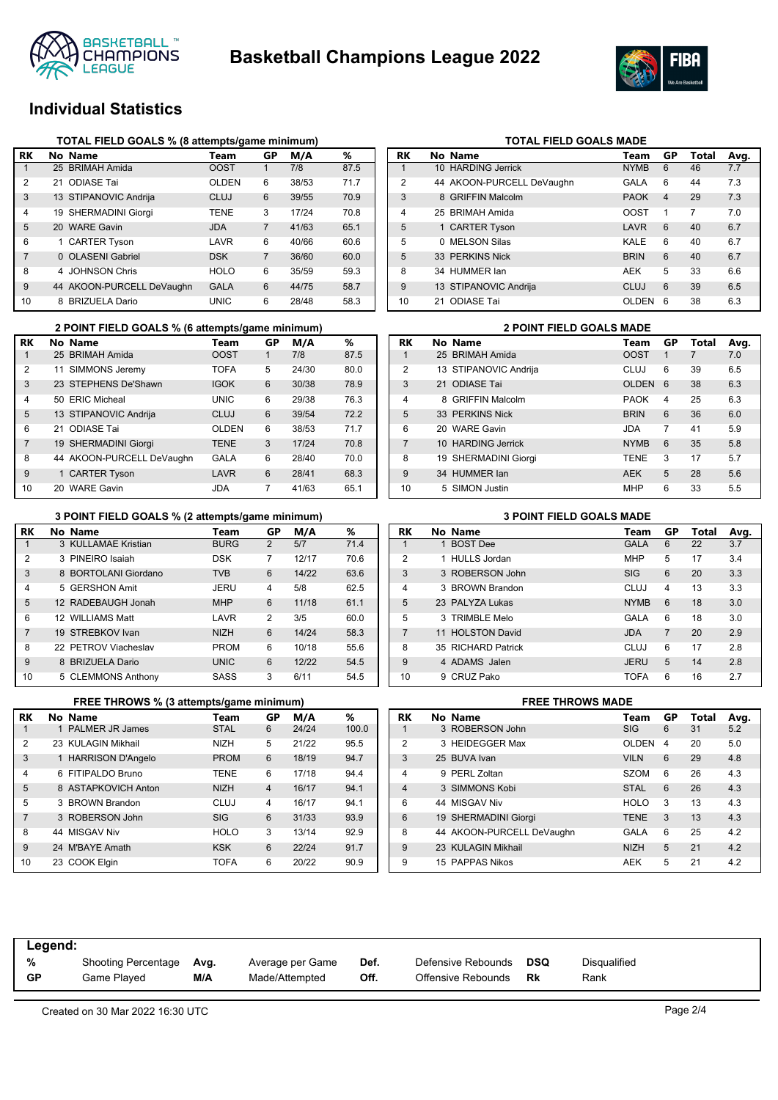



# **Individual Statistics**

|                | TOTAL FIELD GOALS % (8 attempts/game minimum) |                           |              |    |       |      |  |  |  |  |  |  |
|----------------|-----------------------------------------------|---------------------------|--------------|----|-------|------|--|--|--|--|--|--|
| RK             |                                               | No Name                   | Team         | GP | M/A   | %    |  |  |  |  |  |  |
|                |                                               | 25 BRIMAH Amida           | <b>OOST</b>  |    | 7/8   | 87.5 |  |  |  |  |  |  |
| $\overline{2}$ | 21                                            | <b>ODIASE Tai</b>         | <b>OLDEN</b> | 6  | 38/53 | 71.7 |  |  |  |  |  |  |
| 3              |                                               | 13 STIPANOVIC Andrija     | CLUJ         | 6  | 39/55 | 70.9 |  |  |  |  |  |  |
| 4              |                                               | 19 SHERMADINI Giorgi      | <b>TENE</b>  | 3  | 17/24 | 70.8 |  |  |  |  |  |  |
| 5              |                                               | 20 WARE Gavin             | <b>JDA</b>   | 7  | 41/63 | 65.1 |  |  |  |  |  |  |
| 6              |                                               | 1 CARTER Tyson            | LAVR         | 6  | 40/66 | 60.6 |  |  |  |  |  |  |
| 7              |                                               | 0 OLASENI Gabriel         | <b>DSK</b>   | 7  | 36/60 | 60.0 |  |  |  |  |  |  |
| 8              | 4                                             | <b>JOHNSON Chris</b>      | <b>HOLO</b>  | 6  | 35/59 | 59.3 |  |  |  |  |  |  |
| 9              |                                               | 44 AKOON-PURCELL DeVaughn | <b>GALA</b>  | 6  | 44/75 | 58.7 |  |  |  |  |  |  |
| 10             | 8                                             | <b>BRIZUELA Dario</b>     | UNIC         | 6  | 28/48 | 58.3 |  |  |  |  |  |  |

|                | 2 POINT FIELD GOALS % (6 attempts/game minimum) |                           |              |    |       |      |  |                |  | <b>2 POINT FIELD GOALS MADE</b> |             |
|----------------|-------------------------------------------------|---------------------------|--------------|----|-------|------|--|----------------|--|---------------------------------|-------------|
| RK             |                                                 | No Name                   | Team         | GP | M/A   | %    |  | RK             |  | No Name                         | Team        |
|                |                                                 | 25 BRIMAH Amida           | <b>OOST</b>  |    | 7/8   | 87.5 |  |                |  | 25 BRIMAH Amida                 | <b>OOST</b> |
| 2              |                                                 | SIMMONS Jeremy            | <b>TOFA</b>  | 5  | 24/30 | 80.0 |  | $\overline{2}$ |  | 13 STIPANOVIC Andrija           | <b>CLUJ</b> |
| 3              |                                                 | 23 STEPHENS De'Shawn      | <b>IGOK</b>  | 6  | 30/38 | 78.9 |  | 3              |  | 21 ODIASE Tai                   | <b>OLDE</b> |
| 4              |                                                 | 50 ERIC Micheal           | <b>UNIC</b>  | 6  | 29/38 | 76.3 |  | 4              |  | 8 GRIFFIN Malcolm               | <b>PAOK</b> |
| 5              |                                                 | 13 STIPANOVIC Andrija     | <b>CLUJ</b>  | 6  | 39/54 | 72.2 |  | 5              |  | 33 PERKINS Nick                 | <b>BRIN</b> |
| 6              |                                                 | 21 ODIASE Tai             | <b>OLDEN</b> | 6  | 38/53 | 71.7 |  | 6              |  | 20 WARE Gavin                   | <b>JDA</b>  |
| $\overline{7}$ |                                                 | 19 SHERMADINI Giorgi      | <b>TENE</b>  | 3  | 17/24 | 70.8 |  |                |  | 10 HARDING Jerrick              | <b>NYMB</b> |
| 8              |                                                 | 44 AKOON-PURCELL DeVaughn | <b>GALA</b>  | 6  | 28/40 | 70.0 |  | 8              |  | 19 SHERMADINI Giorgi            | <b>TENE</b> |
| 9              |                                                 | 1 CARTER Tyson            | LAVR         | 6  | 28/41 | 68.3 |  | 9              |  | 34 HUMMER lan                   | <b>AEK</b>  |
| 10             |                                                 | 20 WARE Gavin             | <b>JDA</b>   |    | 41/63 | 65.1 |  | 10             |  | 5 SIMON Justin                  | MHP         |

|  | 3 POINT FIELD GOALS % (2 attempts/game minimum) |
|--|-------------------------------------------------|
|--|-------------------------------------------------|

| RK             | No Name              | Team        | GP             | M/A   | ℅    |
|----------------|----------------------|-------------|----------------|-------|------|
|                | 3 KULLAMAE Kristian  | <b>BURG</b> | $\overline{2}$ | 5/7   | 71.4 |
| $\overline{2}$ | 3 PINEIRO Isaiah     | <b>DSK</b>  | 7              | 12/17 | 70.6 |
| 3              | 8 BORTOLANI Giordano | <b>TVB</b>  | 6              | 14/22 | 63.6 |
| 4              | 5 GERSHON Amit       | JERU        | $\overline{4}$ | 5/8   | 62.5 |
| 5              | 12 RADEBAUGH Jonah   | <b>MHP</b>  | 6              | 11/18 | 61.1 |
| 6              | 12 WILLIAMS Matt     | LAVR        | 2              | 3/5   | 60.0 |
| $\overline{7}$ | 19 STREBKOV Ivan     | <b>NIZH</b> | 6              | 14/24 | 58.3 |
| 8              | 22 PETROV Viacheslav | <b>PROM</b> | 6              | 10/18 | 55.6 |
| 9              | 8 BRIZUELA Dario     | <b>UNIC</b> | 6              | 12/22 | 54.5 |
| 10             | 5 CLEMMONS Anthony   | SASS        | 3              | 6/11  | 54.5 |

|                | FREE THROWS % (3 attempts/game minimum) |             |    |       | <b>FREE THROWS MADE</b> |           |                           |                |
|----------------|-----------------------------------------|-------------|----|-------|-------------------------|-----------|---------------------------|----------------|
| RK             | No Name                                 | Team        | GР | M/A   | %                       | <b>RK</b> | No Name                   | Τо             |
|                | 1 PALMER JR James                       | <b>STAL</b> | 6  | 24/24 | 100.0                   |           | 3 ROBERSON John           | SI             |
| 2              | 23 KULAGIN Mikhail                      | <b>NIZH</b> | 5  | 21/22 | 95.5                    | 2         | 3 HEIDEGGER Max           | O              |
| 3              | 1 HARRISON D'Angelo                     | <b>PROM</b> | 6  | 18/19 | 94.7                    | 3         | 25 BUVA Ivan              | V <sub>l</sub> |
| 4              | 6 FITIPALDO Bruno                       | <b>TENE</b> | 6  | 17/18 | 94.4                    | 4         | 9 PERL Zoltan             | S.             |
| $5^{\circ}$    | 8 ASTAPKOVICH Anton                     | <b>NIZH</b> | 4  | 16/17 | 94.1                    | 4         | 3 SIMMONS Kobi            | S              |
| 5              | 3 BROWN Brandon                         | CLUJ        | 4  | 16/17 | 94.1                    | 6         | 44 MISGAV Niv             | H١             |
| $\overline{7}$ | 3 ROBERSON John                         | <b>SIG</b>  | 6  | 31/33 | 93.9                    | 6         | 19 SHERMADINI Giorgi      | ΤI             |
| 8              | 44 MISGAV Niv                           | <b>HOLO</b> | 3  | 13/14 | 92.9                    | 8         | 44 AKOON-PURCELL DeVaughn | G.             |
| 9              | 24 M'BAYE Amath                         | <b>KSK</b>  | 6  | 22/24 | 91.7                    | 9         | 23 KULAGIN Mikhail        | N              |
| 10             | 23 COOK Elgin                           | <b>TOFA</b> | 6  | 20/22 | 90.9                    | 9         | 15 PAPPAS Nikos           | Al             |

| <b>RK</b>      |              | No Name                   | Team        | GP | Total | Avg. |
|----------------|--------------|---------------------------|-------------|----|-------|------|
| 1              |              | 10 HARDING Jerrick        | <b>NYMB</b> | 6  | 46    | 7.7  |
| $\overline{2}$ |              | 44 AKOON-PURCELL DeVaughn | GALA        | 6  | 44    | 7.3  |
| 3              |              | 8 GRIFFIN Malcolm         | <b>PAOK</b> | 4  | 29    | 7.3  |
| 4              |              | 25 BRIMAH Amida           | <b>OOST</b> | 1  | 7     | 7.0  |
| 5              |              | 1 CARTER Tyson            | LAVR        | 6  | 40    | 6.7  |
| 5              | <sup>n</sup> | <b>MELSON Silas</b>       | KALE        | 6  | 40    | 6.7  |
| 5              |              | 33 PERKINS Nick           | <b>BRIN</b> | 6  | 40    | 6.7  |
| 8              |              | 34 HUMMER lan             | AEK         | 5  | 33    | 6.6  |
| 9              |              | 13 STIPANOVIC Andrija     | CLUJ        | 6  | 39    | 6.5  |
| 10             |              | 21 ODIASE Tai             | OLDEN       | 6  | 38    | 6.3  |

**TOTAL FIELD GOALS MADE** 

|                | <b>2 POINT FIELD GOALS MADE</b> |                        |              |    |       |      |  |  |  |  |
|----------------|---------------------------------|------------------------|--------------|----|-------|------|--|--|--|--|
| RK             |                                 | No Name                | Team         | GP | Total | Avg. |  |  |  |  |
| 1              |                                 | 25 BRIMAH Amida        | <b>OOST</b>  | 1  | 7     | 7.0  |  |  |  |  |
| $\overline{2}$ |                                 | 13 STIPANOVIC Andrija  | CLUJ         | 6  | 39    | 6.5  |  |  |  |  |
| 3              |                                 | 21 ODIASE Tai          | <b>OLDEN</b> | 6  | 38    | 6.3  |  |  |  |  |
| $\overline{4}$ | 8                               | <b>GRIFFIN Malcolm</b> | <b>PAOK</b>  | 4  | 25    | 6.3  |  |  |  |  |
| 5              |                                 | 33 PERKINS Nick        | <b>BRIN</b>  | 6  | 36    | 6.0  |  |  |  |  |
| 6              |                                 | 20 WARE Gavin          | <b>JDA</b>   | 7  | 41    | 5.9  |  |  |  |  |
| $\overline{7}$ |                                 | 10 HARDING Jerrick     | <b>NYMB</b>  | 6  | 35    | 5.8  |  |  |  |  |
| 8              |                                 | 19 SHERMADINI Giorgi   | <b>TENE</b>  | 3  | 17    | 5.7  |  |  |  |  |
| 9              |                                 | 34 HUMMER lan          | <b>AEK</b>   | 5  | 28    | 5.6  |  |  |  |  |
| 10             |                                 | 5 SIMON Justin         | <b>MHP</b>   | 6  | 33    | 5.5  |  |  |  |  |

|                | <b>3 POINT FIELD GOALS MADE</b> |                    |             |                |       |      |  |  |  |  |
|----------------|---------------------------------|--------------------|-------------|----------------|-------|------|--|--|--|--|
| RK             |                                 | No Name            | Team        | GP             | Total | Avg. |  |  |  |  |
|                |                                 | 1 BOST Dee         | <b>GALA</b> | 6              | 22    | 3.7  |  |  |  |  |
| $\overline{2}$ |                                 | 1 HULLS Jordan     | <b>MHP</b>  | 5              | 17    | 3.4  |  |  |  |  |
| 3              |                                 | 3 ROBERSON John    | <b>SIG</b>  | 6              | 20    | 3.3  |  |  |  |  |
| $\overline{4}$ |                                 | 3 BROWN Brandon    | CLUJ        | 4              | 13    | 3.3  |  |  |  |  |
| 5              |                                 | 23 PAI YZA Lukas   | <b>NYMB</b> | 6              | 18    | 3.0  |  |  |  |  |
| 5              |                                 | 3 TRIMBLE Melo     | GALA        | 6              | 18    | 3.0  |  |  |  |  |
| $\overline{7}$ |                                 | 11 HOLSTON David   | <b>JDA</b>  | $\overline{7}$ | 20    | 2.9  |  |  |  |  |
| 8              |                                 | 35 RICHARD Patrick | CLUJ        | 6              | 17    | 2.8  |  |  |  |  |
| 9              |                                 | 4 ADAMS Jalen      | <b>JERU</b> | 5              | 14    | 2.8  |  |  |  |  |
| 10             |                                 | 9 CRUZ Pako        | <b>TOFA</b> | 6              | 16    | 2.7  |  |  |  |  |

|                | <b>FREE THROWS MADE</b> |                           |              |                  |       |      |  |  |  |  |
|----------------|-------------------------|---------------------------|--------------|------------------|-------|------|--|--|--|--|
| RK             |                         | No Name                   | Team         | GP               | Total | Avg. |  |  |  |  |
| 1              |                         | 3 ROBERSON John           | <b>SIG</b>   | 6                | 31    | 5.2  |  |  |  |  |
| 2              |                         | 3 HEIDEGGER Max           | <b>OLDEN</b> | $\boldsymbol{4}$ | 20    | 5.0  |  |  |  |  |
| 3              |                         | 25 BUVA Ivan              | <b>VILN</b>  | 6                | 29    | 4.8  |  |  |  |  |
| $\overline{4}$ |                         | 9 PFRI Zoltan             | <b>SZOM</b>  | 6                | 26    | 4.3  |  |  |  |  |
| $\overline{4}$ |                         | 3 SIMMONS Kobi            | <b>STAL</b>  | 6                | 26    | 4.3  |  |  |  |  |
| 6              |                         | 44 MISGAV Niv             | <b>HOLO</b>  | 3                | 13    | 4.3  |  |  |  |  |
| 6              |                         | 19 SHERMADINI Giorgi      | <b>TFNF</b>  | 3                | 13    | 4.3  |  |  |  |  |
| 8              |                         | 44 AKOON-PURCELL DeVaughn | GALA         | 6                | 25    | 4.2  |  |  |  |  |
| $\mathbf{Q}$   |                         | 23 KULAGIN Mikhail        | NI7H         | 5                | 21    | 4.2  |  |  |  |  |
| 9              |                         | 15 PAPPAS Nikos           | <b>AEK</b>   | 5                | 21    | 4.2  |  |  |  |  |
|                |                         |                           |              |                  |       |      |  |  |  |  |

| Legend:   |                     |      |                  |      |                    |     |              |
|-----------|---------------------|------|------------------|------|--------------------|-----|--------------|
| %         | Shooting Percentage | Avg. | Average per Game | Def. | Defensive Rebounds | DSQ | Disqualified |
| <b>GP</b> | Game Played         | M/A  | Made/Attempted   | Off. | Offensive Rebounds | Rk  | Rank         |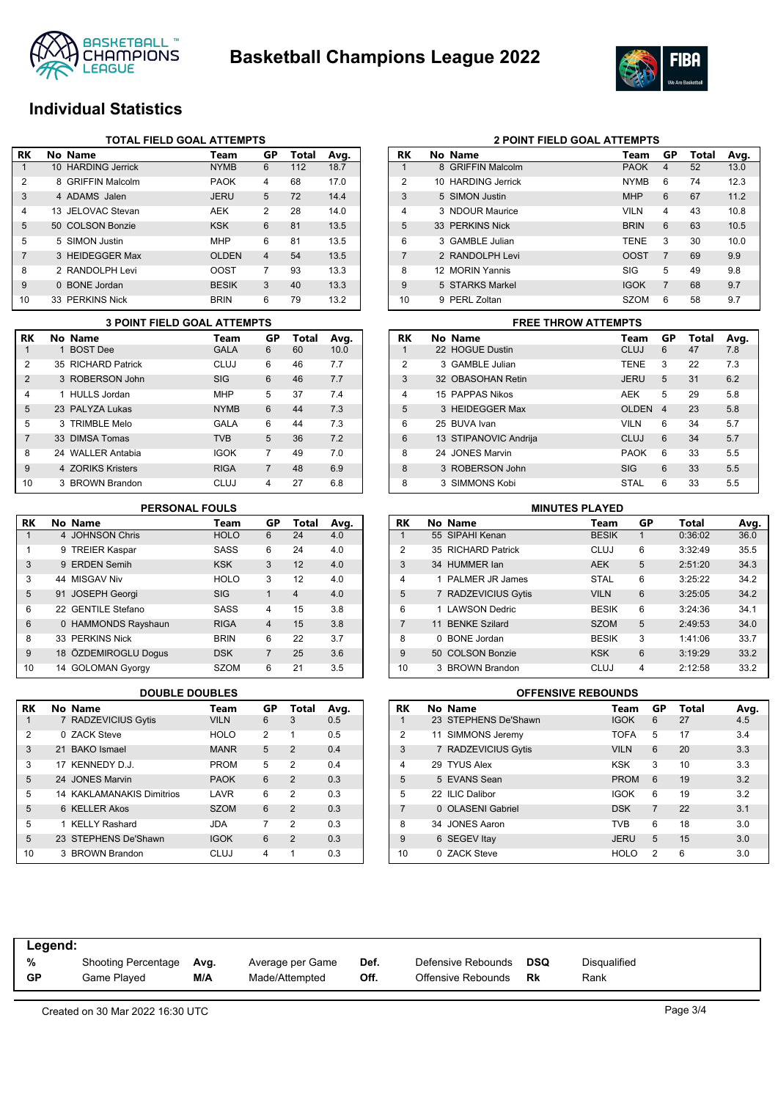



# **Individual Statistics**

|    | <b>TOTAL FIELD GOAL ATTEMPTS</b> |                        |              |                |       |      |  |  |  |  |
|----|----------------------------------|------------------------|--------------|----------------|-------|------|--|--|--|--|
| RK |                                  | No Name                | Team         | GP             | Total | Avg. |  |  |  |  |
|    |                                  | 10 HARDING Jerrick     | <b>NYMB</b>  | 6              | 112   | 18.7 |  |  |  |  |
| 2  | 8                                | <b>GRIFFIN Malcolm</b> | <b>PAOK</b>  | $\overline{4}$ | 68    | 17.0 |  |  |  |  |
| 3  |                                  | 4 ADAMS Jalen          | <b>JERU</b>  | 5              | 72    | 14.4 |  |  |  |  |
| 4  |                                  | 13 JFLOVAC Stevan      | AEK          | 2              | 28    | 14.0 |  |  |  |  |
| 5  |                                  | 50 COLSON Bonzie       | <b>KSK</b>   | 6              | 81    | 13.5 |  |  |  |  |
| 5  |                                  | 5 SIMON Justin         | <b>MHP</b>   | 6              | 81    | 13.5 |  |  |  |  |
| 7  |                                  | 3 HEIDEGGER Max        | <b>OLDEN</b> | $\overline{4}$ | 54    | 13.5 |  |  |  |  |
| 8  |                                  | 2 RANDOLPH Levi        | <b>OOST</b>  | 7              | 93    | 13.3 |  |  |  |  |
| 9  | $\Omega$                         | <b>BONE</b> Jordan     | <b>BESIK</b> | 3              | 40    | 13.3 |  |  |  |  |
| 10 |                                  | 33 PERKINS Nick        | <b>BRIN</b>  | 6              | 79    | 13.2 |  |  |  |  |

|                | <b>3 POINT FIELD GOAL ATTEMPTS</b> |                    |             |    |              |      |  |  |  |
|----------------|------------------------------------|--------------------|-------------|----|--------------|------|--|--|--|
| <b>RK</b>      |                                    | No Name            | Team        | GP | <b>Total</b> | Avg. |  |  |  |
|                |                                    | 1 BOST Dee         | <b>GALA</b> | 6  | 60           | 10.0 |  |  |  |
| 2              |                                    | 35 RICHARD Patrick | CLUJ        | 6  | 46           | 7.7  |  |  |  |
| $\overline{2}$ |                                    | 3 ROBERSON John    | <b>SIG</b>  | 6  | 46           | 7.7  |  |  |  |
| 4              |                                    | 1 HULLS Jordan     | <b>MHP</b>  | 5  | 37           | 7.4  |  |  |  |
| 5              |                                    | 23 PALYZA Lukas    | <b>NYMB</b> | 6  | 44           | 7.3  |  |  |  |
| 5              |                                    | 3 TRIMBLE Melo     | GALA        | 6  | 44           | 7.3  |  |  |  |
| $\overline{7}$ |                                    | 33 DIMSA Tomas     | <b>TVB</b>  | 5  | 36           | 7.2  |  |  |  |
| 8              |                                    | 24 WALLER Antabia  | <b>IGOK</b> | 7  | 49           | 7.0  |  |  |  |
| 9              |                                    | 4 70RIKS Kristers  | <b>RIGA</b> | 7  | 48           | 6.9  |  |  |  |
| 10             |                                    | 3 BROWN Brandon    | CLUJ        | 4  | 27           | 6.8  |  |  |  |

### **PERSONAL FOULS**

| RK | No Name              | Team        | GP             | Total          | Avg. |
|----|----------------------|-------------|----------------|----------------|------|
| 1  | 4 JOHNSON Chris      | <b>HOLO</b> | 6              | 24             | 4.0  |
| 1  | 9 TREIER Kaspar      | SASS        | 6              | 24             | 4.0  |
| 3  | 9 ERDEN Semih        | <b>KSK</b>  | 3              | 12             | 4.0  |
| 3  | 44 MISGAV Niv        | <b>HOLO</b> | 3              | 12             | 4.0  |
| 5  | 91 JOSEPH Georgi     | <b>SIG</b>  | 1              | $\overline{4}$ | 4.0  |
| 6  | 22 GENTILE Stefano   | <b>SASS</b> | 4              | 15             | 3.8  |
| 6  | 0 HAMMONDS Rayshaun  | <b>RIGA</b> | $\overline{4}$ | 15             | 3.8  |
| 8  | 33 PERKINS Nick      | <b>BRIN</b> | 6              | 22             | 3.7  |
| 9  | 18 ÖZDEMIROGLU Doqus | <b>DSK</b>  | 7              | 25             | 3.6  |
| 10 | 14 GOLOMAN Gyorgy    | <b>SZOM</b> | 6              | 21             | 3.5  |

| <b>RK</b>      | No Name                          | Team        | GP | Total          | Avg. |
|----------------|----------------------------------|-------------|----|----------------|------|
| 1              | 7 RADZEVICIUS Gytis              | <b>VILN</b> | 6  | 3              | 0.5  |
| $\overline{2}$ | 0 ZACK Steve                     | <b>HOLO</b> | 2  | 1              | 0.5  |
| 3              | 21 BAKO Ismael                   | <b>MANR</b> | 5  | $\overline{2}$ | 0.4  |
| 3              | 17 KENNEDY D.J.                  | <b>PROM</b> | 5  | 2              | 0.4  |
| 5              | 24 JONES Marvin                  | <b>PAOK</b> | 6  | $\mathcal{P}$  | 0.3  |
| 5              | <b>14 KAKLAMANAKIS Dimitrios</b> | LAVR        | 6  | $\overline{2}$ | 0.3  |
| 5              | 6 KELLER Akos                    | <b>SZOM</b> | 6  | $\mathfrak{p}$ | 0.3  |
| 5              | 1 KFLLY Rashard                  | JDA         | 7  | $\mathfrak{p}$ | 0.3  |
| 5              | 23 STEPHENS De'Shawn             | <b>IGOK</b> | 6  | $\mathfrak{p}$ | 0.3  |
| 10             | <b>BROWN Brandon</b><br>3        | CLUJ        | 4  | 1              | 0.3  |

| RK | No Name            | Team        | GP             | Total | Avg. |
|----|--------------------|-------------|----------------|-------|------|
| 1  | 8 GRIFFIN Malcolm  | <b>PAOK</b> | 4              | 52    | 13.0 |
| 2  | 10 HARDING Jerrick | <b>NYMB</b> | 6              | 74    | 12.3 |
| 3  | 5 SIMON Justin     | <b>MHP</b>  | 6              | 67    | 11.2 |
| 4  | 3 NDOUR Maurice    | <b>VILN</b> | 4              | 43    | 10.8 |
| 5  | 33 PERKINS Nick    | <b>BRIN</b> | 6              | 63    | 10.5 |
| 6  | 3 GAMBLE Julian    | TENE        | 3              | 30    | 10.0 |
| 7  | 2 RANDOLPH Levi    | <b>OOST</b> | $\overline{7}$ | 69    | 9.9  |
| 8  | 12 MORIN Yannis    | SIG         | 5              | 49    | 9.8  |
| 9  | 5 STARKS Markel    | <b>IGOK</b> | $\overline{7}$ | 68    | 9.7  |
| 10 | PERL Zoltan<br>9.  | <b>SZOM</b> | 6              | 58    | 9.7  |

**2 POINT FIELD GOAL ATTEMPTS**

### **RK No Name Team GP Total Avg.** 1 22 HOGUE Dustin CLUJ 6 47 7.8 2 3 GAMBLE Julian TENE 3 22 7.3 3 32 OBASOHAN Retin JERU 5 31 6.2 4 15 PAPPAS Nikos 6 29 5.8 5 3 HEIDEGGER Max OLDEN 4 23 5.8 6 25 BUVA Ivan VILN 6 34 5.7 6 13 STIPANOVIC Andrija CLUJ 6 34 5.7 8 24 JONES Marvin **PAOK 6 33 5.5** 8 3 ROBERSON John SIG 6 33 5.5 8 3 SIMMONS Kobi STAL 6 33 5.5 **3 POINT FIELD GOAL ATTEMPTS FREE THROW ATTEMPTS**

| <b>MINUTES PLAYED</b> |   |                     |              |    |         |      |  |  |
|-----------------------|---|---------------------|--------------|----|---------|------|--|--|
| RK                    |   | No Name             | Team         | GP | Total   | Avg. |  |  |
|                       |   | 55 SIPAHI Kenan     | <b>BESIK</b> | 1  | 0:36:02 | 36.0 |  |  |
| 2                     |   | 35 RICHARD Patrick  | CLUJ         | 6  | 3:32:49 | 35.5 |  |  |
| 3                     |   | 34 HUMMER lan       | <b>AEK</b>   | 5  | 2:51:20 | 34.3 |  |  |
| 4                     |   | 1 PAI MFR JR James  | <b>STAL</b>  | 6  | 3:25:22 | 34.2 |  |  |
| 5                     |   | 7 RADZEVICIUS Gytis | <b>VILN</b>  | 6  | 3:25:05 | 34.2 |  |  |
| 6                     |   | 1   AWSON Dedric    | <b>BESIK</b> | 6  | 3:24:36 | 34.1 |  |  |
| 7                     |   | 11 BENKE Szilard    | <b>SZOM</b>  | 5  | 2:49:53 | 34.0 |  |  |
| 8                     | 0 | <b>BONE</b> Jordan  | <b>BESIK</b> | 3  | 1:41:06 | 33.7 |  |  |
| 9                     |   | 50 COLSON Bonzie    | <b>KSK</b>   | 6  | 3:19:29 | 33.2 |  |  |
| 10                    |   | 3 BROWN Brandon     | CLUJ         | 4  | 2:12:58 | 33.2 |  |  |

### **DOUBLE DOUBLES OFFENSIVE REBOUNDS**

| RK             |   | No Name              | Team        | GP             | <b>Total</b> | Avg. |
|----------------|---|----------------------|-------------|----------------|--------------|------|
| 1              |   | 23 STEPHENS De'Shawn | <b>IGOK</b> | 6              | 27           | 4.5  |
| $\overline{2}$ |   | 11 SIMMONS Jeremy    | <b>TOFA</b> | 5              | 17           | 3.4  |
| 3              |   | 7 RADZEVICIUS Gytis  | <b>VILN</b> | 6              | 20           | 3.3  |
| $\overline{4}$ |   | 29 TYUS Alex         | <b>KSK</b>  | 3              | 10           | 3.3  |
| 5              |   | 5 EVANS Sean         | <b>PROM</b> | 6              | 19           | 3.2  |
| 5              |   | 22 ILIC Dalibor      | <b>IGOK</b> | 6              | 19           | 3.2  |
| 7              |   | 0 OLASENI Gabriel    | <b>DSK</b>  | $\overline{7}$ | 22           | 3.1  |
| 8              |   | 34 JONES Aaron       | <b>TVB</b>  | 6              | 18           | 3.0  |
| 9              |   | 6 SEGEV Itay         | <b>JERU</b> | 5              | 15           | 3.0  |
| 10             | 0 | <b>ZACK Steve</b>    | <b>HOLO</b> | 2              | 6            | 3.0  |

| Legend:   |                            |      |                  |      |                    |     |                     |
|-----------|----------------------------|------|------------------|------|--------------------|-----|---------------------|
| %         | <b>Shooting Percentage</b> | Avg. | Average per Game | Def. | Defensive Rebounds | DSQ | <b>Disqualified</b> |
| <b>GP</b> | Game Played                | M/A  | Made/Attempted   | Off. | Offensive Rebounds | Rk  | Rank                |